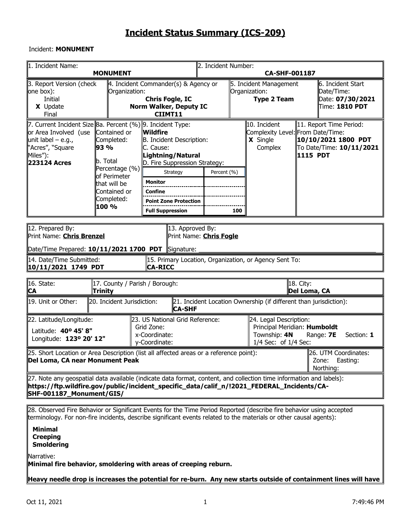## Incident: **MONUMENT**

| 1. Incident Name:                                                                                                                                                                                                                                                                                                                                                                                                                                                                                                                                                                                                                                                                                                        | 2. Incident Number:<br><b>MONUMENT</b><br><b>CA-SHF-001187</b> |                                                                                                                        |  |  |                                                               |  |                                                                                |  |  |  |  |  |  |
|--------------------------------------------------------------------------------------------------------------------------------------------------------------------------------------------------------------------------------------------------------------------------------------------------------------------------------------------------------------------------------------------------------------------------------------------------------------------------------------------------------------------------------------------------------------------------------------------------------------------------------------------------------------------------------------------------------------------------|----------------------------------------------------------------|------------------------------------------------------------------------------------------------------------------------|--|--|---------------------------------------------------------------|--|--------------------------------------------------------------------------------|--|--|--|--|--|--|
| 3. Report Version (check<br>one box):<br>Initial<br>X Update<br>Final                                                                                                                                                                                                                                                                                                                                                                                                                                                                                                                                                                                                                                                    | Organization:                                                  | $\parallel$ 4. Incident Commander(s) & Agency or<br><b>Chris Fogle, IC</b><br><b>Norm Walker, Deputy IC</b><br>CIIMT11 |  |  | 5. Incident Management<br>Organization:<br><b>Type 2 Team</b> |  | ll6. Incident Start<br>Date/Time:<br>Date: 07/30/2021<br>$\tt{Time:}$ 1810 PDT |  |  |  |  |  |  |
| 7. Current Incident Size Ba. Percent (%) 9. Incident Type:<br>10. Incident<br>11. Report Time Period:<br>or Area Involved (use<br>Contained or<br>Wildfire<br>Complexity Level: From Date/Time:<br>X Single<br>10/10/2021 1800 PDT<br>unit label $-$ e.g.,<br>Completed:<br>B. Incident Description:<br>"Acres", "Square<br>93 %<br>To Date/Time: 10/11/2021<br>C. Cause:<br>Complex<br>Miles"):<br>Lightning/Natural<br><b>1115 PDT</b><br>b. Total<br>223124 Acres<br>D. Fire Suppression Strategy:<br>Percentage (%)<br>Percent (%)<br>Strategy<br>of Perimeter<br><b>Monitor</b><br>that will be<br>Contained or<br>Confine<br>Completed:<br><b>Point Zone Protection</b><br>100 %<br><b>Full Suppression</b><br>100 |                                                                |                                                                                                                        |  |  |                                                               |  |                                                                                |  |  |  |  |  |  |
| 12. Prepared By:<br>13. Approved By:<br>Print Name: <b>Chris Brenzel</b><br>Print Name: <b>Chris Fogle</b><br>Date/Time Prepared: 10/11/2021 1700 PDT<br>Signature:<br>14. Date/Time Submitted:<br>15. Primary Location, Organization, or Agency Sent To:<br>10/11/2021 1749 PDT<br>CA-RICC                                                                                                                                                                                                                                                                                                                                                                                                                              |                                                                |                                                                                                                        |  |  |                                                               |  |                                                                                |  |  |  |  |  |  |
| 16. State:<br>18. City:<br>17. County / Parish / Borough:<br>Trinity<br>Del Loma, CA<br>CA                                                                                                                                                                                                                                                                                                                                                                                                                                                                                                                                                                                                                               |                                                                |                                                                                                                        |  |  |                                                               |  |                                                                                |  |  |  |  |  |  |
| 19. Unit or Other:<br>21. Incident Location Ownership (if different than jurisdiction):<br>20. Incident Jurisdiction:<br><b>CA-SHF</b>                                                                                                                                                                                                                                                                                                                                                                                                                                                                                                                                                                                   |                                                                |                                                                                                                        |  |  |                                                               |  |                                                                                |  |  |  |  |  |  |
| 24. Legal Description:<br>22. Latitude/Longitude:<br>23. US National Grid Reference:<br>Principal Meridian: Humboldt<br>Grid Zone:<br>Latitude: 40° 45' 8"<br>x-Coordinate:<br>Township: 4N<br>Range: 7E<br>Section: 1<br>Longitude: 123º 20' 12"<br>y-Coordinate:<br>1/4 Sec: of 1/4 Sec:                                                                                                                                                                                                                                                                                                                                                                                                                               |                                                                |                                                                                                                        |  |  |                                                               |  |                                                                                |  |  |  |  |  |  |
| [25. Short Location or Area Description (list all affected areas or a reference point):<br>26. UTM Coordinates:<br>Del Loma, CA near Monument Peak<br>Zone: Easting:<br>Northing:                                                                                                                                                                                                                                                                                                                                                                                                                                                                                                                                        |                                                                |                                                                                                                        |  |  |                                                               |  |                                                                                |  |  |  |  |  |  |
| [27. Note any geospatial data available (indicate data format, content, and collection time information and labels):<br>https://ftp.wildfire.gov/public/incident_specific_data/calif_n/!2021_FEDERAL_Incidents/CA- <br>SHF-001187_Monument/GIS/                                                                                                                                                                                                                                                                                                                                                                                                                                                                          |                                                                |                                                                                                                        |  |  |                                                               |  |                                                                                |  |  |  |  |  |  |
| 28. Observed Fire Behavior or Significant Events for the Time Period Reported (describe fire behavior using accepted<br>terminology. For non-fire incidents, describe significant events related to the materials or other causal agents):<br><b>Minimal</b>                                                                                                                                                                                                                                                                                                                                                                                                                                                             |                                                                |                                                                                                                        |  |  |                                                               |  |                                                                                |  |  |  |  |  |  |

**Creeping Smoldering**

Narrative:

**Minimal fire behavior, smoldering with areas of creeping reburn.** 

**Heavy needle drop is increases the potential for re-burn. Any new starts outside of containment lines will have**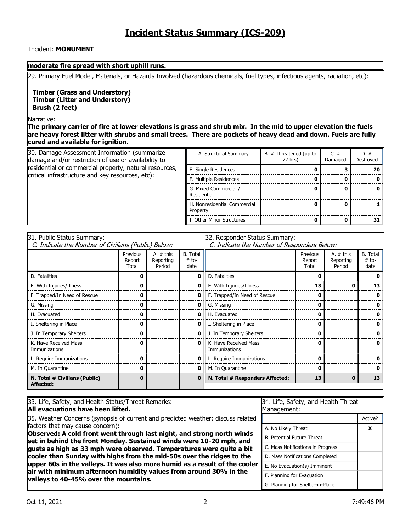### Incident: **MONUMENT**

#### **moderate fire spread with short uphill runs.**

29. Primary Fuel Model, Materials, or Hazards Involved (hazardous chemicals, fuel types, infectious agents, radiation, etc):

**Timber (Grass and Understory) Timber (Litter and Understory) Brush (2 feet)**

Narrative:

**The primary carrier of fire at lower elevations is grass and shrub mix. In the mid to upper elevation the fuels are heavy forest litter with shrubs and small trees. There are pockets of heavy dead and down. Fuels are fully cured and available for ignition.**

| 30. Damage Assessment Information (summarize<br>damage and/or restriction of use or availability to | A. Structural Summary<br>B. # Threatened (up to<br>72 hrs) |  |  |    |  |
|-----------------------------------------------------------------------------------------------------|------------------------------------------------------------|--|--|----|--|
| residential or commercial property, natural resources,                                              | E. Single Residences                                       |  |  | 20 |  |
| critical infrastructure and key resources, etc):                                                    | F. Multiple Residences                                     |  |  |    |  |
|                                                                                                     | G. Mixed Commercial /<br>Residential                       |  |  |    |  |
|                                                                                                     | H. Nonresidential Commercial<br>Property                   |  |  |    |  |
|                                                                                                     | I. Other Minor Structures                                  |  |  | 31 |  |

| 31. Public Status Summary:                          |                             |                                    | 32. Responder Status Summary:      |                                             |                             |                                    |                             |  |  |  |
|-----------------------------------------------------|-----------------------------|------------------------------------|------------------------------------|---------------------------------------------|-----------------------------|------------------------------------|-----------------------------|--|--|--|
| C. Indicate the Number of Civilians (Public) Below: |                             |                                    |                                    | C. Indicate the Number of Responders Below: |                             |                                    |                             |  |  |  |
|                                                     | Previous<br>Report<br>Total | A. $#$ this<br>Reporting<br>Period | <b>B.</b> Total<br>$# to-$<br>date |                                             | Previous<br>Report<br>Total | A. $#$ this<br>Reporting<br>Period | B. Total<br>$#$ to-<br>date |  |  |  |
| D. Fatalities                                       | 0                           |                                    | 0                                  | D. Fatalities                               |                             |                                    |                             |  |  |  |
| E. With Injuries/Illness                            | n                           |                                    | 0                                  | E. With Injuries/Illness                    | 13                          |                                    | 13                          |  |  |  |
| F. Trapped/In Need of Rescue                        | 0                           |                                    | 0                                  | F. Trapped/In Need of Rescue                |                             |                                    |                             |  |  |  |
| G. Missing                                          | 0                           |                                    | 0                                  | G. Missing                                  |                             |                                    |                             |  |  |  |
| H. Evacuated                                        | 0                           |                                    | 0                                  | H. Evacuated                                |                             |                                    |                             |  |  |  |
| I. Sheltering in Place                              | 0                           |                                    | 0                                  | I. Sheltering in Place                      |                             |                                    |                             |  |  |  |
| J. In Temporary Shelters                            | 0                           |                                    | 0                                  | J. In Temporary Shelters                    |                             |                                    |                             |  |  |  |
| K. Have Received Mass<br>Immunizations              | 0                           |                                    | 0                                  | K. Have Received Mass<br>Immunizations      |                             |                                    |                             |  |  |  |
| L. Require Immunizations                            | 0                           |                                    | 0                                  | L. Require Immunizations                    |                             |                                    |                             |  |  |  |
| M. In Quarantine                                    | 0                           |                                    | 0                                  | M. In Quarantine                            |                             |                                    |                             |  |  |  |
| N. Total # Civilians (Public)<br>Affected:          | 0                           |                                    | $\bf{0}$                           | N. Total # Responders Affected:             | 13                          | n                                  | 13                          |  |  |  |

| 33. Life, Safety, and Health Status/Threat Remarks:<br>All evacuations have been lifted.                                                      | 34. Life, Safety, and Health Threat<br>Management: |         |  |  |  |
|-----------------------------------------------------------------------------------------------------------------------------------------------|----------------------------------------------------|---------|--|--|--|
| 35. Weather Concerns (synopsis of current and predicted weather; discuss related                                                              |                                                    | Active? |  |  |  |
| factors that may cause concern):                                                                                                              | A. No Likely Threat                                | x       |  |  |  |
| Observed: A cold front went through last night, and strong north winds<br>set in behind the front Monday. Sustained winds were 10-20 mph, and | B. Potential Future Threat                         |         |  |  |  |
| gusts as high as 33 mph were observed. Temperatures were quite a bit                                                                          | C. Mass Notifications in Progress                  |         |  |  |  |
| cooler than Sunday with highs from the mid-50s over the ridges to the                                                                         | D. Mass Notifications Completed                    |         |  |  |  |
| upper 60s in the valleys. It was also more humid as a result of the cooler                                                                    | E. No Evacuation(s) Imminent                       |         |  |  |  |
| air with minimum afternoon humidity values from around 30% in the<br>valleys to 40-45% over the mountains.                                    | F. Planning for Evacuation                         |         |  |  |  |
|                                                                                                                                               | G. Planning for Shelter-in-Place                   |         |  |  |  |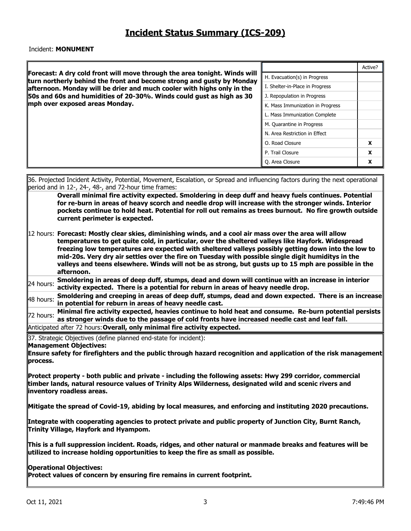#### Incident: **MONUMENT**

| H. Evacuation(s) in Progress<br>turn northerly behind the front and become strong and gusty by Monday<br>I. Shelter-in-Place in Progress<br>afternoon. Monday will be drier and much cooler with highs only in the<br>50s and 60s and humidities of 20-30%. Winds could gust as high as 30<br>J. Repopulation in Progress<br>mph over exposed areas Monday.<br>K. Mass Immunization in Progress<br>L. Mass Immunization Complete<br>M. Quarantine in Progress<br>N. Area Restriction in Effect<br>O. Road Closure<br>X<br>P. Trail Closure<br>X<br>Q. Area Closure<br>X<br>36. Projected Incident Activity, Potential, Movement, Escalation, or Spread and influencing factors during the next operational<br>period and in 12-, 24-, 48-, and 72-hour time frames:<br>Overall minimal fire activity expected. Smoldering in deep duff and heavy fuels continues. Potential<br>for re-burn in areas of heavy scorch and needle drop will increase with the stronger winds. Interior<br>pockets continue to hold heat. Potential for roll out remains as trees burnout. No fire growth outside<br>current perimeter is expected.<br>$\parallel$ 12 hours: Forecast: Mostly clear skies, diminishing winds, and a cool air mass over the area will allow<br>temperatures to get quite cold, in particular, over the sheltered valleys like Hayfork. Widespread<br>freezing low temperatures are expected with sheltered valleys possibly getting down into the low to<br>mid-20s. Very dry air settles over the fire on Tuesday with possible single digit humiditys in the<br>valleys and teens elsewhere. Winds will not be as strong, but gusts up to 15 mph are possible in the | Active?                                                                                                                                                                                                                                                         |  |  |  |  |  |  |  |  |  |  |  |  |  |
|-----------------------------------------------------------------------------------------------------------------------------------------------------------------------------------------------------------------------------------------------------------------------------------------------------------------------------------------------------------------------------------------------------------------------------------------------------------------------------------------------------------------------------------------------------------------------------------------------------------------------------------------------------------------------------------------------------------------------------------------------------------------------------------------------------------------------------------------------------------------------------------------------------------------------------------------------------------------------------------------------------------------------------------------------------------------------------------------------------------------------------------------------------------------------------------------------------------------------------------------------------------------------------------------------------------------------------------------------------------------------------------------------------------------------------------------------------------------------------------------------------------------------------------------------------------------------------------------------------------------------------------------------------------------------------------|-----------------------------------------------------------------------------------------------------------------------------------------------------------------------------------------------------------------------------------------------------------------|--|--|--|--|--|--|--|--|--|--|--|--|--|
|                                                                                                                                                                                                                                                                                                                                                                                                                                                                                                                                                                                                                                                                                                                                                                                                                                                                                                                                                                                                                                                                                                                                                                                                                                                                                                                                                                                                                                                                                                                                                                                                                                                                                   | Forecast: A dry cold front will move through the area tonight. Winds will                                                                                                                                                                                       |  |  |  |  |  |  |  |  |  |  |  |  |  |
|                                                                                                                                                                                                                                                                                                                                                                                                                                                                                                                                                                                                                                                                                                                                                                                                                                                                                                                                                                                                                                                                                                                                                                                                                                                                                                                                                                                                                                                                                                                                                                                                                                                                                   |                                                                                                                                                                                                                                                                 |  |  |  |  |  |  |  |  |  |  |  |  |  |
|                                                                                                                                                                                                                                                                                                                                                                                                                                                                                                                                                                                                                                                                                                                                                                                                                                                                                                                                                                                                                                                                                                                                                                                                                                                                                                                                                                                                                                                                                                                                                                                                                                                                                   |                                                                                                                                                                                                                                                                 |  |  |  |  |  |  |  |  |  |  |  |  |  |
|                                                                                                                                                                                                                                                                                                                                                                                                                                                                                                                                                                                                                                                                                                                                                                                                                                                                                                                                                                                                                                                                                                                                                                                                                                                                                                                                                                                                                                                                                                                                                                                                                                                                                   |                                                                                                                                                                                                                                                                 |  |  |  |  |  |  |  |  |  |  |  |  |  |
|                                                                                                                                                                                                                                                                                                                                                                                                                                                                                                                                                                                                                                                                                                                                                                                                                                                                                                                                                                                                                                                                                                                                                                                                                                                                                                                                                                                                                                                                                                                                                                                                                                                                                   |                                                                                                                                                                                                                                                                 |  |  |  |  |  |  |  |  |  |  |  |  |  |
|                                                                                                                                                                                                                                                                                                                                                                                                                                                                                                                                                                                                                                                                                                                                                                                                                                                                                                                                                                                                                                                                                                                                                                                                                                                                                                                                                                                                                                                                                                                                                                                                                                                                                   |                                                                                                                                                                                                                                                                 |  |  |  |  |  |  |  |  |  |  |  |  |  |
|                                                                                                                                                                                                                                                                                                                                                                                                                                                                                                                                                                                                                                                                                                                                                                                                                                                                                                                                                                                                                                                                                                                                                                                                                                                                                                                                                                                                                                                                                                                                                                                                                                                                                   |                                                                                                                                                                                                                                                                 |  |  |  |  |  |  |  |  |  |  |  |  |  |
|                                                                                                                                                                                                                                                                                                                                                                                                                                                                                                                                                                                                                                                                                                                                                                                                                                                                                                                                                                                                                                                                                                                                                                                                                                                                                                                                                                                                                                                                                                                                                                                                                                                                                   |                                                                                                                                                                                                                                                                 |  |  |  |  |  |  |  |  |  |  |  |  |  |
|                                                                                                                                                                                                                                                                                                                                                                                                                                                                                                                                                                                                                                                                                                                                                                                                                                                                                                                                                                                                                                                                                                                                                                                                                                                                                                                                                                                                                                                                                                                                                                                                                                                                                   |                                                                                                                                                                                                                                                                 |  |  |  |  |  |  |  |  |  |  |  |  |  |
|                                                                                                                                                                                                                                                                                                                                                                                                                                                                                                                                                                                                                                                                                                                                                                                                                                                                                                                                                                                                                                                                                                                                                                                                                                                                                                                                                                                                                                                                                                                                                                                                                                                                                   |                                                                                                                                                                                                                                                                 |  |  |  |  |  |  |  |  |  |  |  |  |  |
|                                                                                                                                                                                                                                                                                                                                                                                                                                                                                                                                                                                                                                                                                                                                                                                                                                                                                                                                                                                                                                                                                                                                                                                                                                                                                                                                                                                                                                                                                                                                                                                                                                                                                   |                                                                                                                                                                                                                                                                 |  |  |  |  |  |  |  |  |  |  |  |  |  |
|                                                                                                                                                                                                                                                                                                                                                                                                                                                                                                                                                                                                                                                                                                                                                                                                                                                                                                                                                                                                                                                                                                                                                                                                                                                                                                                                                                                                                                                                                                                                                                                                                                                                                   |                                                                                                                                                                                                                                                                 |  |  |  |  |  |  |  |  |  |  |  |  |  |
|                                                                                                                                                                                                                                                                                                                                                                                                                                                                                                                                                                                                                                                                                                                                                                                                                                                                                                                                                                                                                                                                                                                                                                                                                                                                                                                                                                                                                                                                                                                                                                                                                                                                                   | activity expected. There is a potential for reburn in areas of heavy needle drop.<br>Smoldering and creeping in areas of deep duff, stumps, dead and down expected. There is an increase<br>48 hours:<br>in potential for reburn in areas of heavy needle cast. |  |  |  |  |  |  |  |  |  |  |  |  |  |

**72 hours:** Minimal fire activity expected, heavies continue to hold heat and consume. Re-burn potential persists **as stronger winds due to the passage of cold fronts have increased needle cast and leaf fall.**  Anticipated after 72 hours:**Overall, only minimal fire activity expected.**

37. Strategic Objectives (define planned end-state for incident):

### **Management Objectives:**

**Ensure safety for firefighters and the public through hazard recognition and application of the risk management process.** 

**Protect property - both public and private - including the following assets: Hwy 299 corridor, commercial timber lands, natural resource values of Trinity Alps Wilderness, designated wild and scenic rivers and inventory roadless areas.** 

**Mitigate the spread of Covid-19, abiding by local measures, and enforcing and instituting 2020 precautions.** 

**Integrate with cooperating agencies to protect private and public property of Junction City, Burnt Ranch, Trinity Village, Hayfork and Hyampom.** 

**This is a full suppression incident. Roads, ridges, and other natural or manmade breaks and features will be utilized to increase holding opportunities to keep the fire as small as possible.** 

**Operational Objectives:** 

Protect values of concern by ensuring fire remains in current footprint.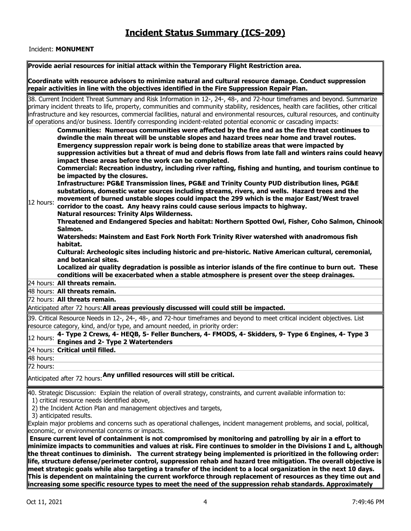### Incident: **MONUMENT**

| Provide aerial resources for initial attack within the Temporary Flight Restriction area.                                                                                                                                                                                                                                                                                                                                                                                                                                                                                                                  |
|------------------------------------------------------------------------------------------------------------------------------------------------------------------------------------------------------------------------------------------------------------------------------------------------------------------------------------------------------------------------------------------------------------------------------------------------------------------------------------------------------------------------------------------------------------------------------------------------------------|
| Coordinate with resource advisors to minimize natural and cultural resource damage. Conduct suppression<br>repair activities in line with the objectives identified in the Fire Suppression Repair Plan.                                                                                                                                                                                                                                                                                                                                                                                                   |
| 38. Current Incident Threat Summary and Risk Information in 12-, 24-, 48-, and 72-hour timeframes and beyond. Summarize<br>primary incident threats to life, property, communities and community stability, residences, health care facilities, other critical<br>infrastructure and key resources, commercial facilities, natural and environmental resources, cultural resources, and continuity<br>of operations and/or business. Identify corresponding incident-related potential economic or cascading impacts:                                                                                      |
| Communities: Numerous communities were affected by the fire and as the fire threat continues to<br>dwindle the main threat will be unstable slopes and hazard trees near home and travel routes.<br>Emergency suppression repair work is being done to stabilize areas that were impacted by<br>suppression activities but a threat of mud and debris flows from late fall and winters rains could heavy<br>impact these areas before the work can be completed.<br>Commercial: Recreation industry, including river rafting, fishing and hunting, and tourism continue to<br>be impacted by the closures. |
| Infrastructure: PG&E Transmission lines, PG&E and Trinity County PUD distribution lines, PG&E<br>substations, domestic water sources including streams, rivers, and wells. Hazard trees and the<br>movement of burned unstable slopes could impact the 299 which is the major East/West travel<br>12 hours:<br>corridor to the coast. Any heavy rains could cause serious impacts to highway.<br><b>Natural resources: Trinity Alps Wilderness.</b><br>Threatened and Endangered Species and habitat: Northern Spotted Owl, Fisher, Coho Salmon, Chinook                                                   |
| Salmon.<br>Watersheds: Mainstem and East Fork North Fork Trinity River watershed with anadromous fish<br>habitat.<br>Cultural: Archeologic sites including historic and pre-historic. Native American cultural, ceremonial,<br>and botanical sites.<br>Localized air quality degradation is possible as interior islands of the fire continue to burn out. These<br>conditions will be exacerbated when a stable atmosphere is present over the steep drainages.                                                                                                                                           |
| 24 hours: All threats remain.                                                                                                                                                                                                                                                                                                                                                                                                                                                                                                                                                                              |
| 48 hours: All threats remain.                                                                                                                                                                                                                                                                                                                                                                                                                                                                                                                                                                              |
| 72 hours: All threats remain.                                                                                                                                                                                                                                                                                                                                                                                                                                                                                                                                                                              |
| Anticipated after 72 hours: All areas previously discussed will could still be impacted.                                                                                                                                                                                                                                                                                                                                                                                                                                                                                                                   |
| 39. Critical Resource Needs in 12-, 24-, 48-, and 72-hour timeframes and beyond to meet critical incident objectives. List<br>resource category, kind, and/or type, and amount needed, in priority order:                                                                                                                                                                                                                                                                                                                                                                                                  |
| 4- Type 2 Crews, 4- HEQB, 5- Feller Bunchers, 4- FMODS, 4- Skidders, 9- Type 6 Engines, 4- Type 3<br>12 hours:<br><b>Engines and 2- Type 2 Watertenders</b>                                                                                                                                                                                                                                                                                                                                                                                                                                                |
| 24 hours: Critical until filled.                                                                                                                                                                                                                                                                                                                                                                                                                                                                                                                                                                           |
| 48 hours:                                                                                                                                                                                                                                                                                                                                                                                                                                                                                                                                                                                                  |
| 72 hours:                                                                                                                                                                                                                                                                                                                                                                                                                                                                                                                                                                                                  |
| Anticipated after 72 hours: Any unfilled resources will still be critical.                                                                                                                                                                                                                                                                                                                                                                                                                                                                                                                                 |
| 40. Strategic Discussion: Explain the relation of overall strategy, constraints, and current available information to:<br>1) critical resource needs identified above,<br>2) the Incident Action Plan and management objectives and targets,<br>3) anticipated results.                                                                                                                                                                                                                                                                                                                                    |
| Explain major problems and concerns such as operational challenges, incident management problems, and social, political,<br>economic, or environmental concerns or impacts.<br>Ensure current level of containment is not compromised by monitoring and patrolling by air in a effort to<br>minimize impacts to communities and values at risk. Fire continues to smolder in the Divisions I and L, although<br>the threat continues to diminish. The current strategy being implemented is prioritized in the following order:                                                                            |
| life, structure defense/perimeter control, suppression rehab and hazard tree mitigation. The overall objective is<br>$\parallel$ meet strategic goals while also targeting a transfer of the incident to a local organization in the next 10 days.<br>$\parallel$ This is dependent on maintaining the current workforce through replacement of resources as they time out and<br>$\parallel$ increasing some specific resource types to meet the need of the suppression rehab standards. Approximately                                                                                                   |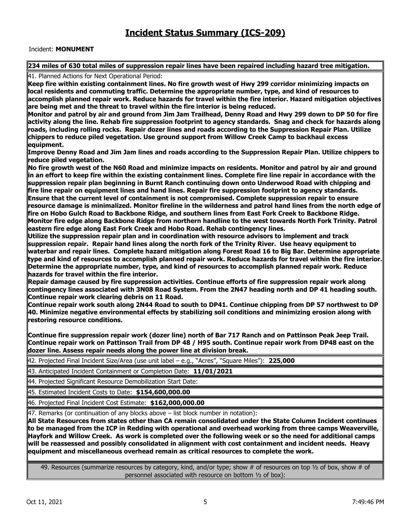### Incident: **MONUMENT**

### 234 miles of 630 total miles of suppression repair lines have been repaired including hazard tree mitigation.

41. Planned Actions for Next Operational Period:

**Keep fire within existing containment lines. No fire growth west of Hwy 299 corridor minimizing impacts on local residents and commuting traffic. Determine the appropriate number, type, and kind of resources to accomplish planned repair work. Reduce hazards for travel within the fire interior. Hazard mitigation objectives**  are being met and the threat to travel within the fire interior is being reduced.

**Monitor and patrol by air and ground from Jim Jam Trailhead, Denny Road and Hwy 299 down to DP 50 for fire activity along the line. Rehab fire suppression footprint to agency standards. Snag and check for hazards along roads, including rolling rocks. Repair dozer lines and roads according to the Suppression Repair Plan. Utilize chippers to reduce piled vegetation. Use ground support from Willow Creek Camp to backhaul excess equipment.** 

**Improve Denny Road and Jim Jam lines and roads according to the Suppression Repair Plan. Utilize chippers to reduce piled vegetation.** 

**No fire growth west of the N60 Road and minimize impacts on residents. Monitor and patrol by air and ground in an effort to keep fire within the existing containment lines. Complete fire line repair in accordance with the suppression repair plan beginning in Burnt Ranch continuing down onto Underwood Road with chipping and**  fire line repair on equipment lines and hand lines. Repair fire suppression footprint to agency standards. **Ensure that the current level of containment is not compromised. Complete suppression repair to ensure resource damage is minimalized. Monitor fireline in the wilderness and patrol hand lines from the north edge of fire on Hobo Gulch Road to Backbone Ridge, and southern lines from East Fork Creek to Backbone Ridge. Monitor fire edge along Backbone Ridge from northern handline to the west towards North Fork Trinity. Patrol eastern fire edge along East Fork Creek and Hobo Road. Rehab contingency lines.** 

**Utilize the suppression repair plan and in coordination with resource advisors to implement and track suppression repair. Repair hand lines along the north fork of the Trinity River. Use heavy equipment to waterbar and repair lines. Complete hazard mitigation along Forest Road 16 to Big Bar. Determine appropriate**  type and kind of resources to accomplish planned repair work. Reduce hazards for travel within the fire interior. **Determine the appropriate number, type, and kind of resources to accomplish planned repair work. Reduce hazards for travel within the fire interior.** 

**Repair damage caused by fire suppression activities. Continue efforts of fire suppression repair work along contingency lines associated with 3N08 Road System. From the 2N47 heading north and DP 41 heading south. Continue repair work clearing debris on 11 Road.** 

**Continue repair work south along 2N44 Road to south to DP41. Continue chipping from DP 57 northwest to DP 40. Minimize negative environmental effects by stabilizing soil conditions and minimizing erosion along with restoring resource conditions.** 

**Continue fire suppression repair work (dozer line) north of Bar 717 Ranch and on Pattinson Peak Jeep Trail. Continue repair work on Pattinson Trail from DP 48 / H95 south. Continue repair work from DP48 east on the dozer line. Assess repair needs along the power line at division break.** 

42. Projected Final Incident Size/Area (use unit label – e.g., "Acres", "Square Miles"): **225,000**

43. Anticipated Incident Containment or Completion Date: **11/01/2021**

44. Projected Significant Resource Demobilization Start Date:

45. Estimated Incident Costs to Date: **\$154,600,000.00**

46. Projected Final Incident Cost Estimate: **\$162,000,000.00**

47. Remarks (or continuation of any blocks above – list block number in notation):

**All State Resources from states other than CA remain consolidated under the State Column Incident continues to be managed from the ICP in Redding with operational and overhead working from three camps Weaverville, Hayfork and Willow Creek. As work is completed over the following week or so the need for additional camps will be reassessed and possibly consolidated in alignment with cost containment and incident needs. Heavy equipment and miscellaneous overhead remain as critical resources to complete the work.**

49. Resources (summarize resources by category, kind, and/or type; show # of resources on top  $\frac{1}{2}$  of box, show # of personnel associated with resource on bottom ½ of box):